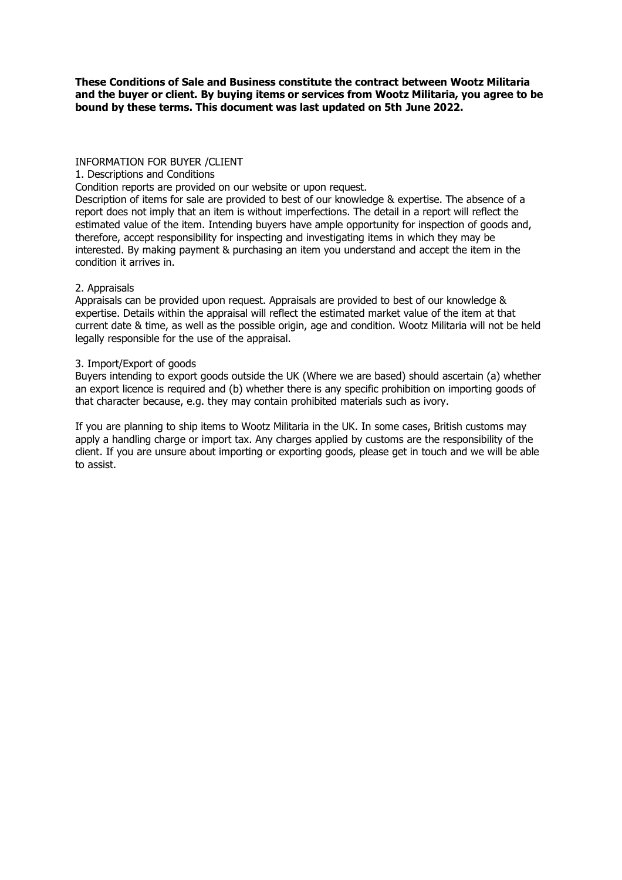**These Conditions of Sale and Business constitute the contract between Wootz Militaria and the buyer or client. By buying items or services from Wootz Militaria, you agree to be bound by these terms. This document was last updated on 5th June 2022.**

## INFORMATION FOR BUYER /CLIENT

#### 1. Descriptions and Conditions

Condition reports are provided on our website or upon request.

Description of items for sale are provided to best of our knowledge & expertise. The absence of a report does not imply that an item is without imperfections. The detail in a report will reflect the estimated value of the item. Intending buyers have ample opportunity for inspection of goods and, therefore, accept responsibility for inspecting and investigating items in which they may be interested. By making payment & purchasing an item you understand and accept the item in the condition it arrives in.

## 2. Appraisals

Appraisals can be provided upon request. Appraisals are provided to best of our knowledge & expertise. Details within the appraisal will reflect the estimated market value of the item at that current date & time, as well as the possible origin, age and condition. Wootz Militaria will not be held legally responsible for the use of the appraisal.

# 3. Import/Export of goods

Buyers intending to export goods outside the UK (Where we are based) should ascertain (a) whether an export licence is required and (b) whether there is any specific prohibition on importing goods of that character because, e.g. they may contain prohibited materials such as ivory.

If you are planning to ship items to Wootz Militaria in the UK. In some cases, British customs may apply a handling charge or import tax. Any charges applied by customs are the responsibility of the client. If you are unsure about importing or exporting goods, please get in touch and we will be able to assist.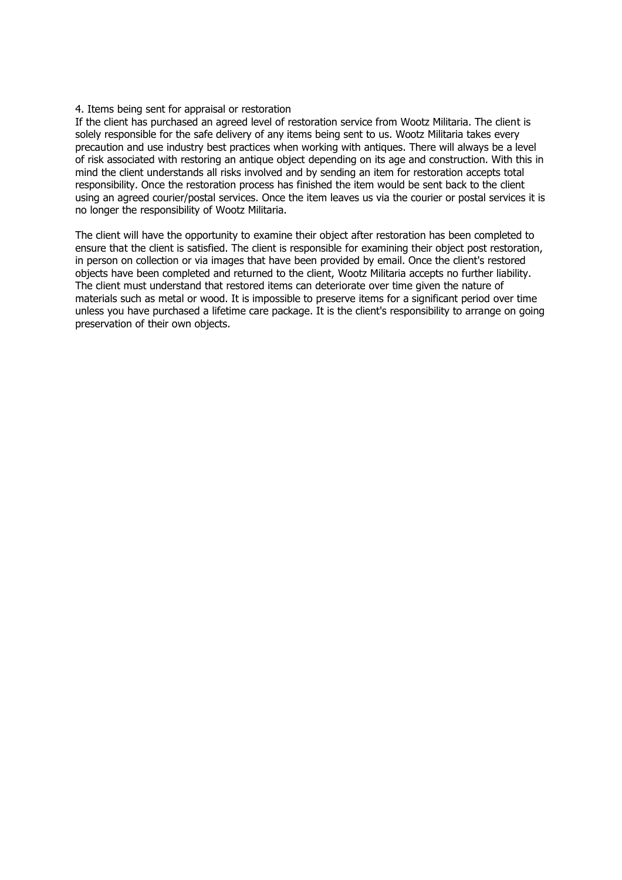## 4. Items being sent for appraisal or restoration

If the client has purchased an agreed level of restoration service from Wootz Militaria. The client is solely responsible for the safe delivery of any items being sent to us. Wootz Militaria takes every precaution and use industry best practices when working with antiques. There will always be a level of risk associated with restoring an antique object depending on its age and construction. With this in mind the client understands all risks involved and by sending an item for restoration accepts total responsibility. Once the restoration process has finished the item would be sent back to the client using an agreed courier/postal services. Once the item leaves us via the courier or postal services it is no longer the responsibility of Wootz Militaria.

The client will have the opportunity to examine their object after restoration has been completed to ensure that the client is satisfied. The client is responsible for examining their object post restoration, in person on collection or via images that have been provided by email. Once the client's restored objects have been completed and returned to the client, Wootz Militaria accepts no further liability. The client must understand that restored items can deteriorate over time given the nature of materials such as metal or wood. It is impossible to preserve items for a significant period over time unless you have purchased a lifetime care package. It is the client's responsibility to arrange on going preservation of their own objects.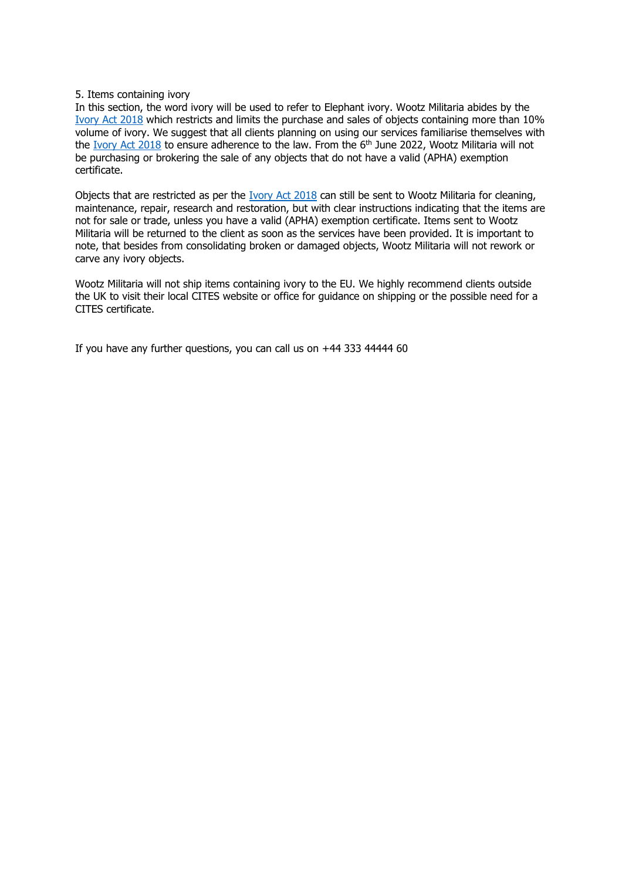# 5. Items containing ivory

In this section, the word ivory will be used to refer to Elephant ivory. Wootz Militaria abides by the [Ivory Act 2018](https://www.gov.uk/government/publications/ivory-act-2018-enforcement-and-civil-sanctions/ivory-act-2018-enforcement-and-civil-sanctions#:~:text=The%20Ivory%20Act%202018%20bans,else%20to%20deal%20in%20ivory.) which restricts and limits the purchase and sales of objects containing more than 10% volume of ivory. We suggest that all clients planning on using our services familiarise themselves with the [Ivory Act 2018](https://www.gov.uk/government/publications/ivory-act-2018-enforcement-and-civil-sanctions/ivory-act-2018-enforcement-and-civil-sanctions#:~:text=The%20Ivory%20Act%202018%20bans,else%20to%20deal%20in%20ivory.) to ensure adherence to the law. From the 6<sup>th</sup> June 2022, Wootz Militaria will not be purchasing or brokering the sale of any objects that do not have a valid (APHA) exemption certificate.

Objects that are restricted as per the [Ivory Act 2018](https://www.gov.uk/government/publications/ivory-act-2018-enforcement-and-civil-sanctions/ivory-act-2018-enforcement-and-civil-sanctions#:~:text=The%20Ivory%20Act%202018%20bans,else%20to%20deal%20in%20ivory.) can still be sent to Wootz Militaria for cleaning, maintenance, repair, research and restoration, but with clear instructions indicating that the items are not for sale or trade, unless you have a valid (APHA) exemption certificate. Items sent to Wootz Militaria will be returned to the client as soon as the services have been provided. It is important to note, that besides from consolidating broken or damaged objects, Wootz Militaria will not rework or carve any ivory objects.

Wootz Militaria will not ship items containing ivory to the EU. We highly recommend clients outside the UK to visit their local CITES website or office for guidance on shipping or the possible need for a CITES certificate.

If you have any further questions, you can call us on +44 333 44444 60